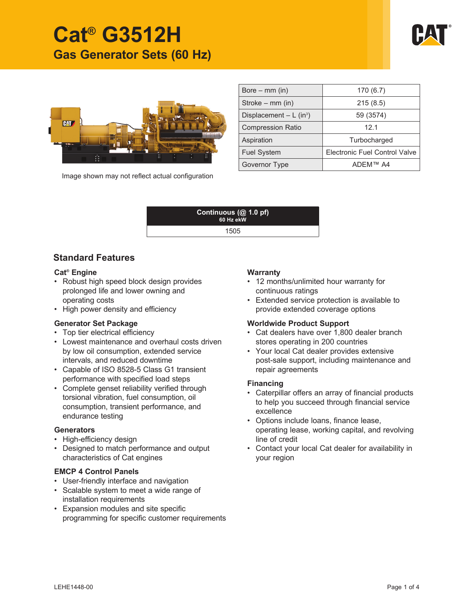



Image shown may not reflect actual configuration

| Bore $-$ mm (in)                      | 170 (6.7)                            |  |
|---------------------------------------|--------------------------------------|--|
| Stroke – mm (in)                      | 215(8.5)                             |  |
| Displacement $- L$ (in <sup>3</sup> ) | 59 (3574)                            |  |
| <b>Compression Ratio</b>              | 12.1                                 |  |
| Aspiration                            | Turbocharged                         |  |
| <b>Fuel System</b>                    | <b>Electronic Fuel Control Valve</b> |  |
| Governor Type                         | ADFM™ A4                             |  |



# **Standard Features**

#### **Cat® Engine**

- Robust high speed block design provides prolonged life and lower owning and operating costs
- High power density and efficiency

#### **Generator Set Package**

- Top tier electrical efficiency
- Lowest maintenance and overhaul costs driven by low oil consumption, extended service intervals, and reduced downtime
- Capable of ISO 8528-5 Class G1 transient performance with specified load steps
- Complete genset reliability verified through torsional vibration, fuel consumption, oil consumption, transient performance, and endurance testing

#### **Generators**

- High-efficiency design
- Designed to match performance and output characteristics of Cat engines

# **EMCP 4 Control Panels**

- User-friendly interface and navigation
- Scalable system to meet a wide range of installation requirements
- Expansion modules and site specific programming for specific customer requirements

# **Warranty**

- 12 months/unlimited hour warranty for continuous ratings
- Extended service protection is available to provide extended coverage options

#### **Worldwide Product Support**

- Cat dealers have over 1,800 dealer branch stores operating in 200 countries
- Your local Cat dealer provides extensive post-sale support, including maintenance and repair agreements

#### **Financing**

- Caterpillar offers an array of financial products to help you succeed through financial service excellence
- Options include loans, finance lease, operating lease, working capital, and revolving line of credit
- Contact your local Cat dealer for availability in your region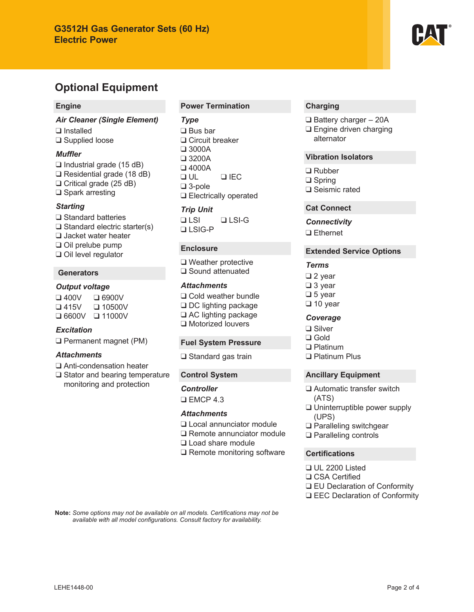

## **Engine**

*Air Cleaner (Single Element)* ❑ Installed ❑ Supplied loose

#### *Muffler*

❑ Industrial grade (15 dB) ❑ Residential grade (18 dB) ❑ Critical grade (25 dB) ❑ Spark arresting

#### *Starting*

❑ Standard batteries ❑ Standard electric starter(s) ❑ Jacket water heater ❑ Oil prelube pump ❑ Oil level regulator

# **Generators**

#### *Output voltage*

❑ 400V ❑ 6900V ❑ 415V ❑ 10500V ❑ 6600V ❑ 11000V

# *Excitation*

❑ Permanent magnet (PM)

#### *Attachments*

- ❑ Anti-condensation heater
- ❑ Stator and bearing temperature monitoring and protection

## **Power Termination**

#### *Type*

❑ Bus bar ❑ Circuit breaker ❑ 3000A ❑ 3200A ❑ 4000A ❑ UL ❑ IEC ❑ 3-pole ❑ Electrically operated

#### *Trip Unit*

❑ LSI ❑ LSI-G ❑ LSIG-P

# **Enclosure**

❑ Weather protective ❑ Sound attenuated

# *Attachments*

❑ Cold weather bundle ❑ DC lighting package ❑ AC lighting package ❑ Motorized louvers

#### **Fuel System Pressure**

❑ Standard gas train

#### **Control System**

*Controller* ❑ EMCP 4.3

#### *Attachments*

- ❑ Local annunciator module
- ❑ Remote annunciator module
- ❑ Load share module
- ❑ Remote monitoring software

## **Charging**

- ❑ Battery charger 20A
- ❑ Engine driven charging alternator

# **Vibration Isolators**

❑ Rubber ❑ Spring ❑ Seismic rated

#### **Cat Connect**

*Connectivity* ❑ Ethernet

#### **Extended Service Options**

#### *Terms*

❑ 2 year ❑ 3 year ❑ 5 year ❑ 10 year

# *Coverage*

❑ Silver ❑ Gold ❑ Platinum ❑ Platinum Plus

- **Ancillary Equipment**
- ❑ Automatic transfer switch (ATS)
- ❑ Uninterruptible power supply (UPS)
- ❑ Paralleling switchgear
- ❑ Paralleling controls

#### **Certifications**

- ❑ UL 2200 Listed ❑ CSA Certified ❑ EU Declaration of Conformity
- ❑ EEC Declaration of Conformity

Note: Some options may not be available on all models. Certifications may not be available with all model configurations. Consult factory for availability.

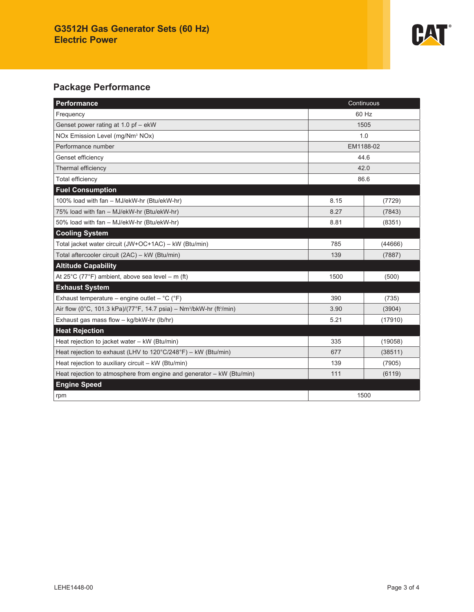

# **Package Performance**

| Performance<br>Continuous                                                                    |           |         |  |
|----------------------------------------------------------------------------------------------|-----------|---------|--|
| Frequency                                                                                    | 60 Hz     |         |  |
| Genset power rating at 1.0 pf - ekW                                                          | 1505      |         |  |
| NOx Emission Level (mg/Nm <sup>3</sup> NOx)                                                  | 1.0       |         |  |
| Performance number                                                                           | EM1188-02 |         |  |
| Genset efficiency                                                                            | 44.6      |         |  |
| Thermal efficiency                                                                           | 42.0      |         |  |
| Total efficiency                                                                             | 86.6      |         |  |
| <b>Fuel Consumption</b>                                                                      |           |         |  |
| 100% load with fan - MJ/ekW-hr (Btu/ekW-hr)                                                  | 8.15      | (7729)  |  |
| 75% load with fan - MJ/ekW-hr (Btu/ekW-hr)                                                   | 8.27      | (7843)  |  |
| 50% load with fan - MJ/ekW-hr (Btu/ekW-hr)                                                   | 8.81      | (8351)  |  |
| <b>Cooling System</b>                                                                        |           |         |  |
| Total jacket water circuit (JW+OC+1AC) - kW (Btu/min)                                        | 785       | (44666) |  |
| Total aftercooler circuit (2AC) - kW (Btu/min)                                               | 139       | (7887)  |  |
| <b>Altitude Capability</b>                                                                   |           |         |  |
| At $25^{\circ}$ C (77°F) ambient, above sea level – m (ft)                                   | 1500      | (500)   |  |
| <b>Exhaust System</b>                                                                        |           |         |  |
| Exhaust temperature – engine outlet – $^{\circ}C$ ( $^{\circ}F$ )                            | 390       | (735)   |  |
| Air flow (0°C, 101.3 kPa)/(77°F, 14.7 psia) - Nm <sup>3</sup> /bkW-hr (ft <sup>3</sup> /min) | 3.90      | (3904)  |  |
| Exhaust gas mass flow - kg/bkW-hr (lb/hr)                                                    | 5.21      | (17910) |  |
| <b>Heat Rejection</b>                                                                        |           |         |  |
| Heat rejection to jacket water - kW (Btu/min)                                                | 335       | (19058) |  |
| Heat rejection to exhaust (LHV to $120^{\circ}$ C/248°F) – kW (Btu/min)                      | 677       | (38511) |  |
| Heat rejection to auxiliary circuit - kW (Btu/min)                                           | 139       | (7905)  |  |
| Heat rejection to atmosphere from engine and generator - kW (Btu/min)                        | 111       | (6119)  |  |
| <b>Engine Speed</b>                                                                          |           |         |  |
| rpm                                                                                          | 1500      |         |  |